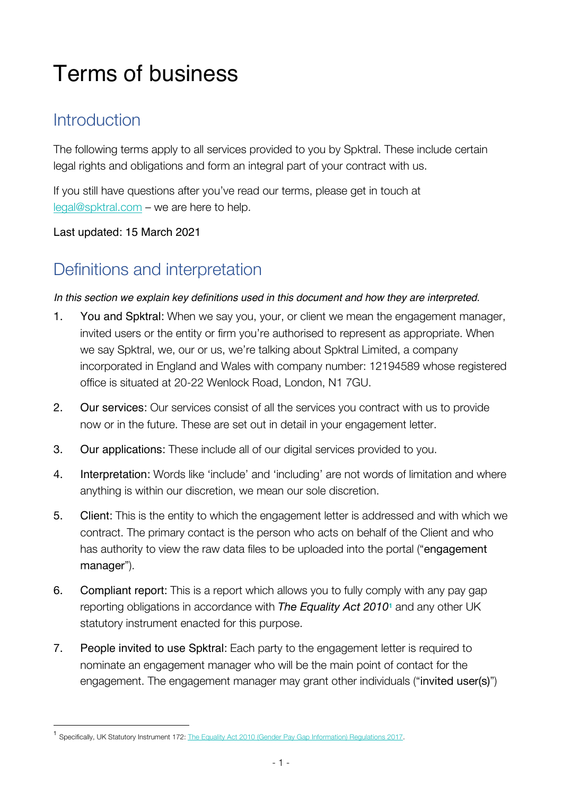# Terms of business

### **Introduction**

The following terms apply to all services provided to you by Spktral. These include certain legal rights and obligations and form an integral part of your contract with us.

If you still have questions after you've read our terms, please get in touch at legal@spktral.com – we are here to help.

#### Last updated: 15 March 2021

### Definitions and interpretation

#### *In this section we explain key definitions used in this document and how they are interpreted.*

- 1. You and Spktral: When we say you, your, or client we mean the engagement manager, invited users or the entity or firm you're authorised to represent as appropriate. When we say Spktral, we, our or us, we're talking about Spktral Limited, a company incorporated in England and Wales with company number: 12194589 whose registered office is situated at 20-22 Wenlock Road, London, N1 7GU.
- 2. Our services: Our services consist of all the services you contract with us to provide now or in the future. These are set out in detail in your engagement letter.
- 3. Our applications: These include all of our digital services provided to you.
- 4. Interpretation: Words like 'include' and 'including' are not words of limitation and where anything is within our discretion, we mean our sole discretion.
- 5. Client: This is the entity to which the engagement letter is addressed and with which we contract. The primary contact is the person who acts on behalf of the Client and who has authority to view the raw data files to be uploaded into the portal ("engagement manager").
- 6. Compliant report: This is a report which allows you to fully comply with any pay gap reporting obligations in accordance with *The Equality Act 2010***<sup>1</sup>** and any other UK statutory instrument enacted for this purpose.
- 7. People invited to use Spktral: Each party to the engagement letter is required to nominate an engagement manager who will be the main point of contact for the engagement. The engagement manager may grant other individuals ("invited user(s)")

<sup>1</sup> Specifically, UK Statutory Instrument 172: The Equality Act 2010 (Gender Pay Gap Information) Regulations 2017.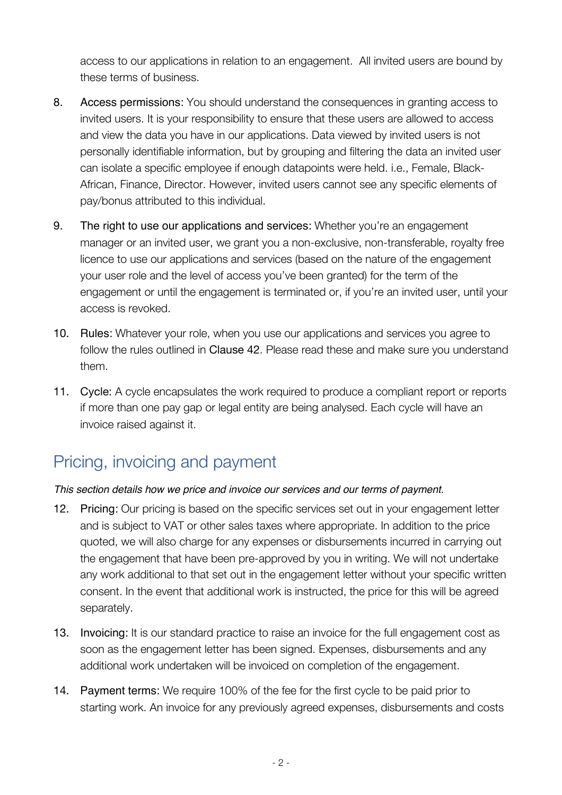access to our applications in relation to an engagement. All invited users are bound by these terms of business.

- 8. Access permissions: You should understand the consequences in granting access to invited users. It is your responsibility to ensure that these users are allowed to access and view the data you have in our applications. Data viewed by invited users is not personally identifiable information, but by grouping and filtering the data an invited user can isolate a specific employee if enough datapoints were held. i.e., Female, Black-African, Finance, Director. However, invited users cannot see any specific elements of pay/bonus attributed to this individual.
- 9. The right to use our applications and services: Whether you're an engagement manager or an invited user, we grant you a non-exclusive, non-transferable, royalty free licence to use our applications and services (based on the nature of the engagement your user role and the level of access you've been granted) for the term of the engagement or until the engagement is terminated or, if you're an invited user, until your access is revoked.
- 10. Rules: Whatever your role, when you use our applications and services you agree to follow the rules outlined in Clause 42. Please read these and make sure you understand them.
- 11. Cycle: A cycle encapsulates the work required to produce a compliant report or reports if more than one pay gap or legal entity are being analysed. Each cycle will have an invoice raised against it.

### Pricing, invoicing and payment

### *This section details how we price and invoice our services and our terms of payment.*

- 12. Pricing: Our pricing is based on the specific services set out in your engagement letter and is subject to VAT or other sales taxes where appropriate. In addition to the price quoted, we will also charge for any expenses or disbursements incurred in carrying out the engagement that have been pre-approved by you in writing. We will not undertake any work additional to that set out in the engagement letter without your specific written consent. In the event that additional work is instructed, the price for this will be agreed separately.
- 13. Invoicing: It is our standard practice to raise an invoice for the full engagement cost as soon as the engagement letter has been signed. Expenses, disbursements and any additional work undertaken will be invoiced on completion of the engagement.
- 14. Payment terms: We require 100% of the fee for the first cycle to be paid prior to starting work. An invoice for any previously agreed expenses, disbursements and costs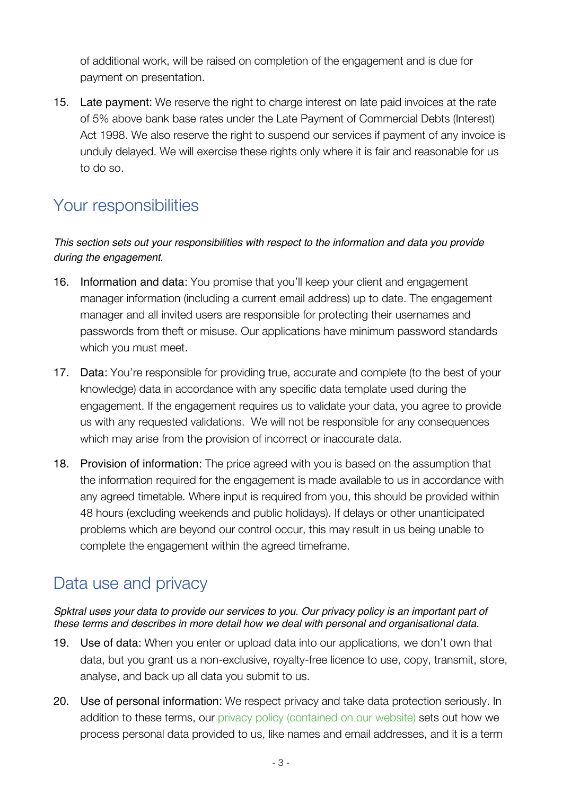of additional work, will be raised on completion of the engagement and is due for payment on presentation.

15. Late payment: We reserve the right to charge interest on late paid invoices at the rate of 5% above bank base rates under the Late Payment of Commercial Debts (Interest) Act 1998. We also reserve the right to suspend our services if payment of any invoice is unduly delayed. We will exercise these rights only where it is fair and reasonable for us to do so.

### Your responsibilities

#### *This section sets out your responsibilities with respect to the information and data you provide during the engagement.*

- 16. Information and data: You promise that you'll keep your client and engagement manager information (including a current email address) up to date. The engagement manager and all invited users are responsible for protecting their usernames and passwords from theft or misuse. Our applications have minimum password standards which you must meet.
- 17. Data: You're responsible for providing true, accurate and complete (to the best of your knowledge) data in accordance with any specific data template used during the engagement. If the engagement requires us to validate your data, you agree to provide us with any requested validations. We will not be responsible for any consequences which may arise from the provision of incorrect or inaccurate data.
- 18. Provision of information: The price agreed with you is based on the assumption that the information required for the engagement is made available to us in accordance with any agreed timetable. Where input is required from you, this should be provided within 48 hours (excluding weekends and public holidays). If delays or other unanticipated problems which are beyond our control occur, this may result in us being unable to complete the engagement within the agreed timeframe.

### Data use and privacy

#### *Spktral uses your data to provide our services to you. Our privacy policy is an important part of these terms and describes in more detail how we deal with personal and organisational data.*

- 19. Use of data: When you enter or upload data into our applications, we don't own that data, but you grant us a non-exclusive, royalty-free licence to use, copy, transmit, store, analyse, and back up all data you submit to us.
- 20. Use of personal information: We respect privacy and take data protection seriously. In addition to these terms, our privacy policy (contained on our website) sets out how we process personal data provided to us, like names and email addresses, and it is a term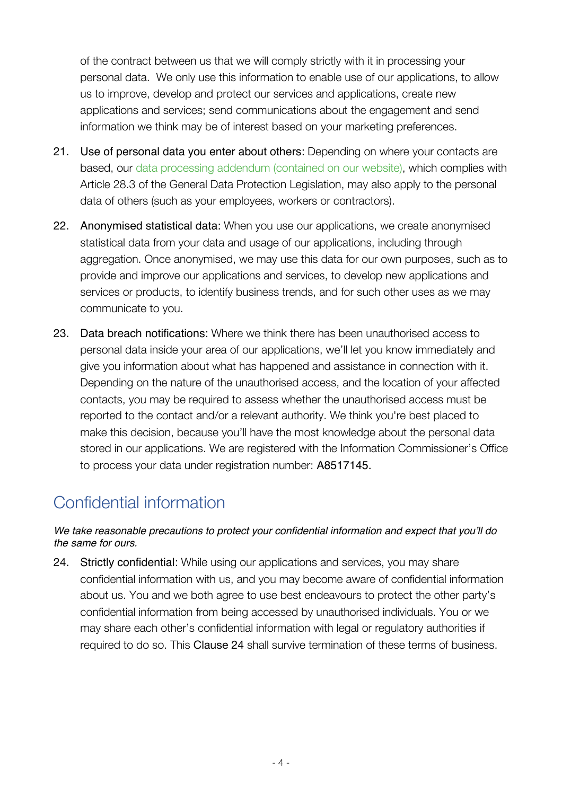of the contract between us that we will comply strictly with it in processing your personal data. We only use this information to enable use of our applications, to allow us to improve, develop and protect our services and applications, create new applications and services; send communications about the engagement and send information we think may be of interest based on your marketing preferences.

- 21. Use of personal data you enter about others: Depending on where your contacts are based, our data processing addendum (contained on our website), which complies with Article 28.3 of the General Data Protection Legislation, may also apply to the personal data of others (such as your employees, workers or contractors).
- 22. Anonymised statistical data: When you use our applications, we create anonymised statistical data from your data and usage of our applications, including through aggregation. Once anonymised, we may use this data for our own purposes, such as to provide and improve our applications and services, to develop new applications and services or products, to identify business trends, and for such other uses as we may communicate to you.
- 23. Data breach notifications: Where we think there has been unauthorised access to personal data inside your area of our applications, we'll let you know immediately and give you information about what has happened and assistance in connection with it. Depending on the nature of the unauthorised access, and the location of your affected contacts, you may be required to assess whether the unauthorised access must be reported to the contact and/or a relevant authority. We think you're best placed to make this decision, because you'll have the most knowledge about the personal data stored in our applications. We are registered with the Information Commissioner's Office to process your data under registration number: A8517145.

# Confidential information

#### *We take reasonable precautions to protect your confidential information and expect that you'll do the same for ours.*

24. Strictly confidential: While using our applications and services, you may share confidential information with us, and you may become aware of confidential information about us. You and we both agree to use best endeavours to protect the other party's confidential information from being accessed by unauthorised individuals. You or we may share each other's confidential information with legal or regulatory authorities if required to do so. This Clause 24 shall survive termination of these terms of business.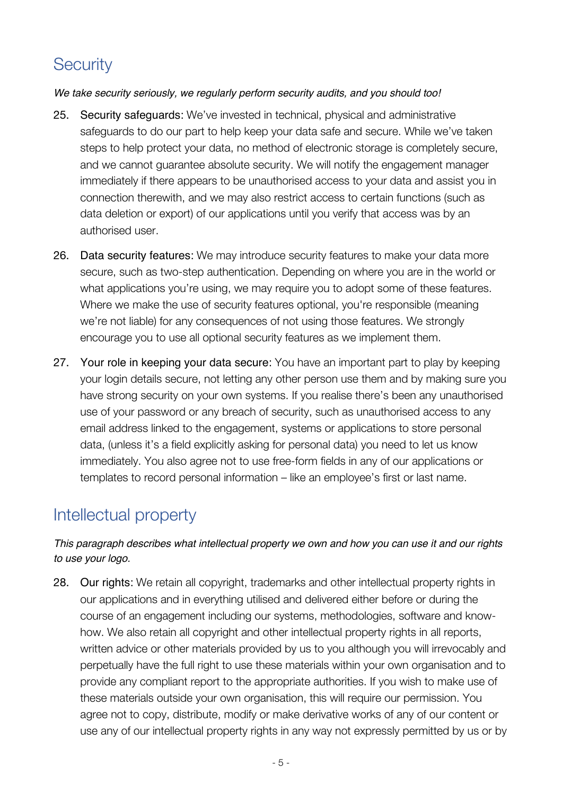### **Security**

#### *We take security seriously, we regularly perform security audits, and you should too!*

- 25. Security safeguards: We've invested in technical, physical and administrative safeguards to do our part to help keep your data safe and secure. While we've taken steps to help protect your data, no method of electronic storage is completely secure, and we cannot guarantee absolute security. We will notify the engagement manager immediately if there appears to be unauthorised access to your data and assist you in connection therewith, and we may also restrict access to certain functions (such as data deletion or export) of our applications until you verify that access was by an authorised user.
- 26. Data security features: We may introduce security features to make your data more secure, such as two-step authentication. Depending on where you are in the world or what applications you're using, we may require you to adopt some of these features. Where we make the use of security features optional, you're responsible (meaning we're not liable) for any consequences of not using those features. We strongly encourage you to use all optional security features as we implement them.
- 27. Your role in keeping your data secure: You have an important part to play by keeping your login details secure, not letting any other person use them and by making sure you have strong security on your own systems. If you realise there's been any unauthorised use of your password or any breach of security, such as unauthorised access to any email address linked to the engagement, systems or applications to store personal data, (unless it's a field explicitly asking for personal data) you need to let us know immediately. You also agree not to use free-form fields in any of our applications or templates to record personal information – like an employee's first or last name.

### Intellectual property

### *This paragraph describes what intellectual property we own and how you can use it and our rights to use your logo.*

28. Our rights: We retain all copyright, trademarks and other intellectual property rights in our applications and in everything utilised and delivered either before or during the course of an engagement including our systems, methodologies, software and knowhow. We also retain all copyright and other intellectual property rights in all reports, written advice or other materials provided by us to you although you will irrevocably and perpetually have the full right to use these materials within your own organisation and to provide any compliant report to the appropriate authorities. If you wish to make use of these materials outside your own organisation, this will require our permission. You agree not to copy, distribute, modify or make derivative works of any of our content or use any of our intellectual property rights in any way not expressly permitted by us or by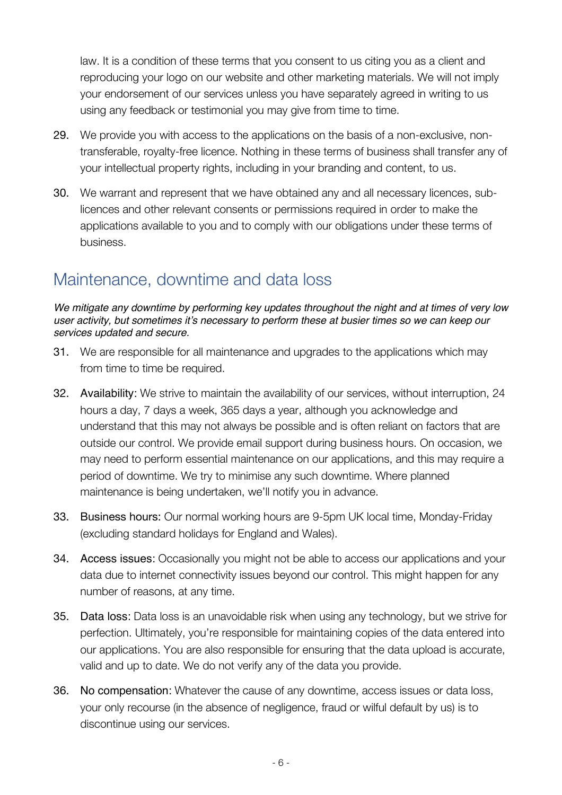law. It is a condition of these terms that you consent to us citing you as a client and reproducing your logo on our website and other marketing materials. We will not imply your endorsement of our services unless you have separately agreed in writing to us using any feedback or testimonial you may give from time to time.

- 29. We provide you with access to the applications on the basis of a non-exclusive, nontransferable, royalty-free licence. Nothing in these terms of business shall transfer any of your intellectual property rights, including in your branding and content, to us.
- 30. We warrant and represent that we have obtained any and all necessary licences, sublicences and other relevant consents or permissions required in order to make the applications available to you and to comply with our obligations under these terms of business.

### Maintenance, downtime and data loss

*We mitigate any downtime by performing key updates throughout the night and at times of very low user activity, but sometimes it's necessary to perform these at busier times so we can keep our services updated and secure.*

- 31. We are responsible for all maintenance and upgrades to the applications which may from time to time be required.
- 32. Availability: We strive to maintain the availability of our services, without interruption, 24 hours a day, 7 days a week, 365 days a year, although you acknowledge and understand that this may not always be possible and is often reliant on factors that are outside our control. We provide email support during business hours. On occasion, we may need to perform essential maintenance on our applications, and this may require a period of downtime. We try to minimise any such downtime. Where planned maintenance is being undertaken, we'll notify you in advance.
- 33. Business hours: Our normal working hours are 9-5pm UK local time, Monday-Friday (excluding standard holidays for England and Wales).
- 34. Access issues: Occasionally you might not be able to access our applications and your data due to internet connectivity issues beyond our control. This might happen for any number of reasons, at any time.
- 35. Data loss: Data loss is an unavoidable risk when using any technology, but we strive for perfection. Ultimately, you're responsible for maintaining copies of the data entered into our applications. You are also responsible for ensuring that the data upload is accurate, valid and up to date. We do not verify any of the data you provide.
- 36. No compensation: Whatever the cause of any downtime, access issues or data loss, your only recourse (in the absence of negligence, fraud or wilful default by us) is to discontinue using our services.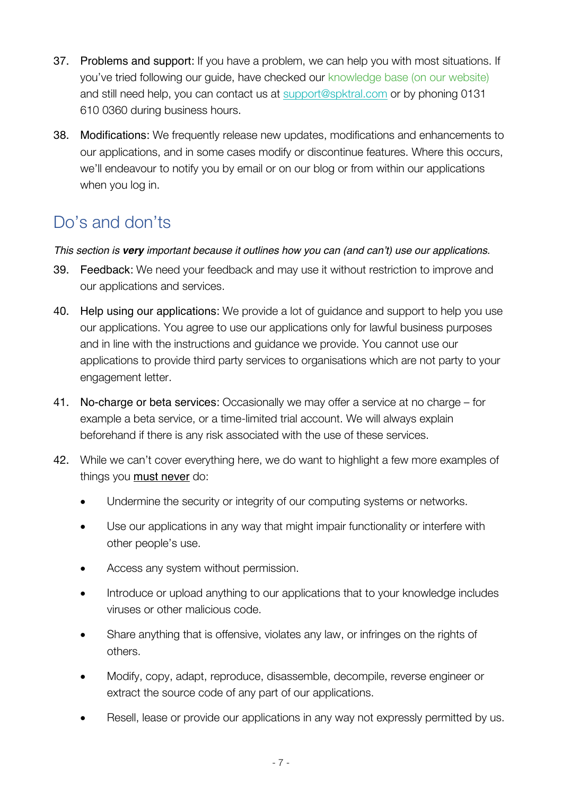- 37. Problems and support: If you have a problem, we can help you with most situations. If you've tried following our guide, have checked our knowledge base (on our website) and still need help, you can contact us at support@spktral.com or by phoning 0131 610 0360 during business hours.
- 38. Modifications: We frequently release new updates, modifications and enhancements to our applications, and in some cases modify or discontinue features. Where this occurs, we'll endeavour to notify you by email or on our blog or from within our applications when you log in.

# Do's and don'ts

### *This section is very important because it outlines how you can (and can't) use our applications.*

- 39. Feedback: We need your feedback and may use it without restriction to improve and our applications and services.
- 40. Help using our applications: We provide a lot of guidance and support to help you use our applications. You agree to use our applications only for lawful business purposes and in line with the instructions and guidance we provide. You cannot use our applications to provide third party services to organisations which are not party to your engagement letter.
- 41. No-charge or beta services: Occasionally we may offer a service at no charge for example a beta service, or a time-limited trial account. We will always explain beforehand if there is any risk associated with the use of these services.
- 42. While we can't cover everything here, we do want to highlight a few more examples of things you **must never** do:
	- Undermine the security or integrity of our computing systems or networks.
	- Use our applications in any way that might impair functionality or interfere with other people's use.
	- Access any system without permission.
	- Introduce or upload anything to our applications that to your knowledge includes viruses or other malicious code.
	- Share anything that is offensive, violates any law, or infringes on the rights of others.
	- Modify, copy, adapt, reproduce, disassemble, decompile, reverse engineer or extract the source code of any part of our applications.
	- Resell, lease or provide our applications in any way not expressly permitted by us.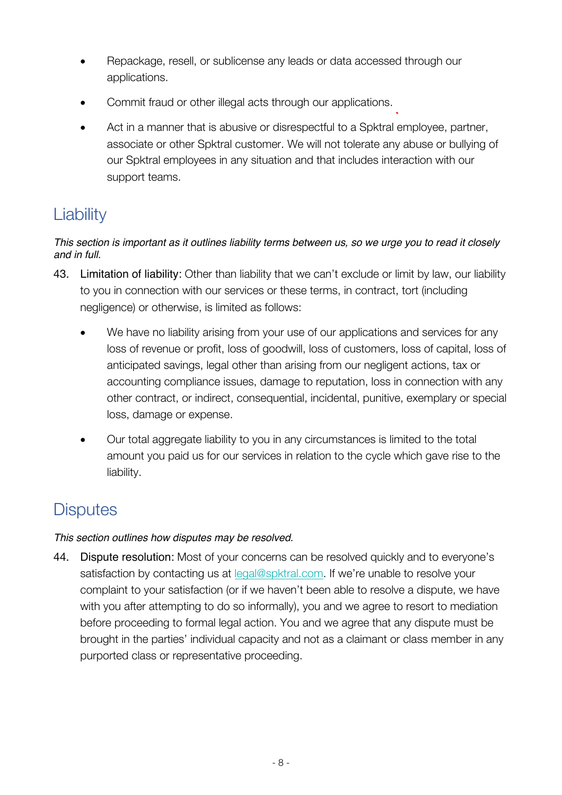- Repackage, resell, or sublicense any leads or data accessed through our applications.
- Commit fraud or other illegal acts through our applications.
- Act in a manner that is abusive or disrespectful to a Spktral employee, partner, associate or other Spktral customer. We will not tolerate any abuse or bullying of our Spktral employees in any situation and that includes interaction with our support teams.

# **Liability**

#### *This section is important as it outlines liability terms between us, so we urge you to read it closely and in full.*

- 43. Limitation of liability: Other than liability that we can't exclude or limit by law, our liability to you in connection with our services or these terms, in contract, tort (including negligence) or otherwise, is limited as follows:
	- We have no liability arising from your use of our applications and services for any loss of revenue or profit, loss of goodwill, loss of customers, loss of capital, loss of anticipated savings, legal other than arising from our negligent actions, tax or accounting compliance issues, damage to reputation, loss in connection with any other contract, or indirect, consequential, incidental, punitive, exemplary or special loss, damage or expense.
	- Our total aggregate liability to you in any circumstances is limited to the total amount you paid us for our services in relation to the cycle which gave rise to the liability.

# **Disputes**

### *This section outlines how disputes may be resolved.*

44. Dispute resolution: Most of your concerns can be resolved quickly and to everyone's satisfaction by contacting us at legal@spktral.com. If we're unable to resolve your complaint to your satisfaction (or if we haven't been able to resolve a dispute, we have with you after attempting to do so informally), you and we agree to resort to mediation before proceeding to formal legal action. You and we agree that any dispute must be brought in the parties' individual capacity and not as a claimant or class member in any purported class or representative proceeding.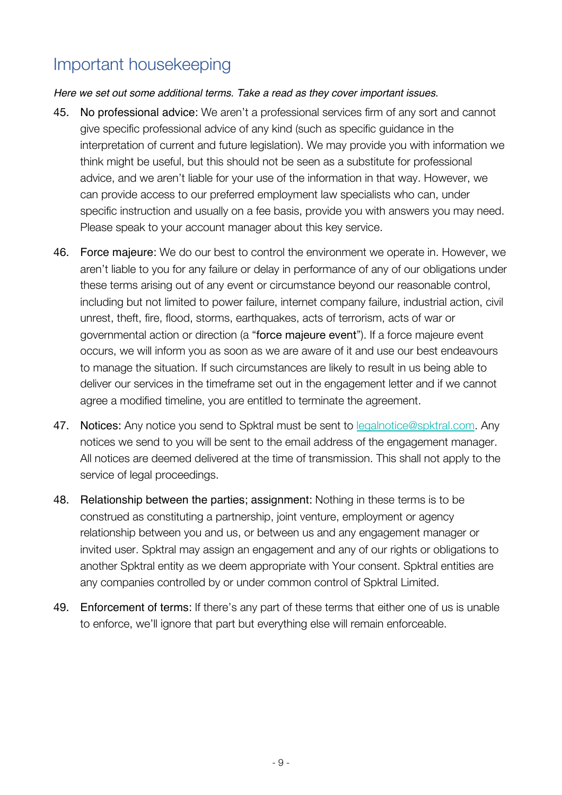### Important housekeeping

#### *Here we set out some additional terms. Take a read as they cover important issues.*

- 45. No professional advice: We aren't a professional services firm of any sort and cannot give specific professional advice of any kind (such as specific guidance in the interpretation of current and future legislation). We may provide you with information we think might be useful, but this should not be seen as a substitute for professional advice, and we aren't liable for your use of the information in that way. However, we can provide access to our preferred employment law specialists who can, under specific instruction and usually on a fee basis, provide you with answers you may need. Please speak to your account manager about this key service.
- 46. Force majeure: We do our best to control the environment we operate in. However, we aren't liable to you for any failure or delay in performance of any of our obligations under these terms arising out of any event or circumstance beyond our reasonable control, including but not limited to power failure, internet company failure, industrial action, civil unrest, theft, fire, flood, storms, earthquakes, acts of terrorism, acts of war or governmental action or direction (a "force majeure event"). If a force majeure event occurs, we will inform you as soon as we are aware of it and use our best endeavours to manage the situation. If such circumstances are likely to result in us being able to deliver our services in the timeframe set out in the engagement letter and if we cannot agree a modified timeline, you are entitled to terminate the agreement.
- 47. Notices: Any notice you send to Spktral must be sent to legalnotice@spktral.com. Any notices we send to you will be sent to the email address of the engagement manager. All notices are deemed delivered at the time of transmission. This shall not apply to the service of legal proceedings.
- 48. Relationship between the parties; assignment: Nothing in these terms is to be construed as constituting a partnership, joint venture, employment or agency relationship between you and us, or between us and any engagement manager or invited user. Spktral may assign an engagement and any of our rights or obligations to another Spktral entity as we deem appropriate with Your consent. Spktral entities are any companies controlled by or under common control of Spktral Limited.
- 49. Enforcement of terms: If there's any part of these terms that either one of us is unable to enforce, we'll ignore that part but everything else will remain enforceable.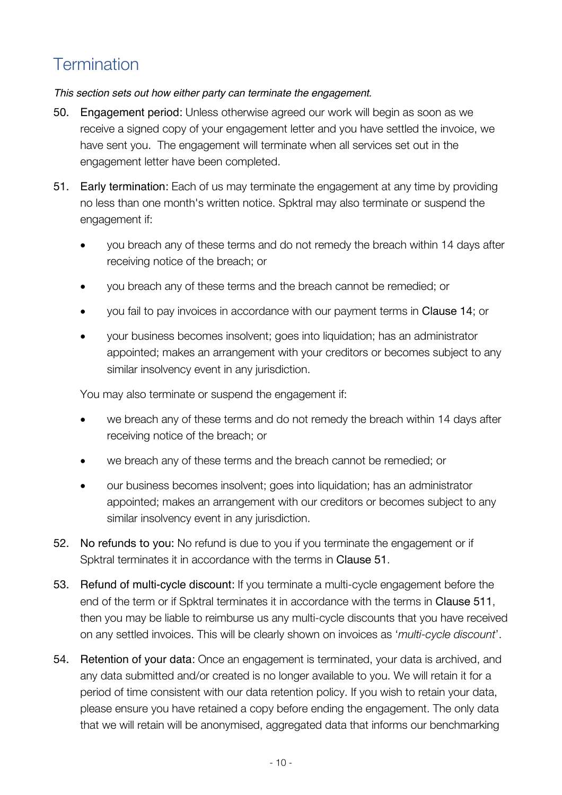# **Termination**

#### *This section sets out how either party can terminate the engagement.*

- 50. Engagement period: Unless otherwise agreed our work will begin as soon as we receive a signed copy of your engagement letter and you have settled the invoice, we have sent you. The engagement will terminate when all services set out in the engagement letter have been completed.
- 51. Early termination: Each of us may terminate the engagement at any time by providing no less than one month's written notice. Spktral may also terminate or suspend the engagement if:
	- you breach any of these terms and do not remedy the breach within 14 days after receiving notice of the breach; or
	- you breach any of these terms and the breach cannot be remedied; or
	- you fail to pay invoices in accordance with our payment terms in Clause 14; or
	- your business becomes insolvent; goes into liquidation; has an administrator appointed; makes an arrangement with your creditors or becomes subject to any similar insolvency event in any jurisdiction.

You may also terminate or suspend the engagement if:

- we breach any of these terms and do not remedy the breach within 14 days after receiving notice of the breach; or
- we breach any of these terms and the breach cannot be remedied; or
- our business becomes insolvent; goes into liquidation; has an administrator appointed; makes an arrangement with our creditors or becomes subject to any similar insolvency event in any jurisdiction.
- 52. No refunds to you: No refund is due to you if you terminate the engagement or if Spktral terminates it in accordance with the terms in Clause 51.
- 53. Refund of multi-cycle discount: If you terminate a multi-cycle engagement before the end of the term or if Spktral terminates it in accordance with the terms in Clause 511. then you may be liable to reimburse us any multi-cycle discounts that you have received on any settled invoices. This will be clearly shown on invoices as '*multi-cycle discount*'.
- 54. Retention of your data: Once an engagement is terminated, your data is archived, and any data submitted and/or created is no longer available to you. We will retain it for a period of time consistent with our data retention policy. If you wish to retain your data, please ensure you have retained a copy before ending the engagement. The only data that we will retain will be anonymised, aggregated data that informs our benchmarking